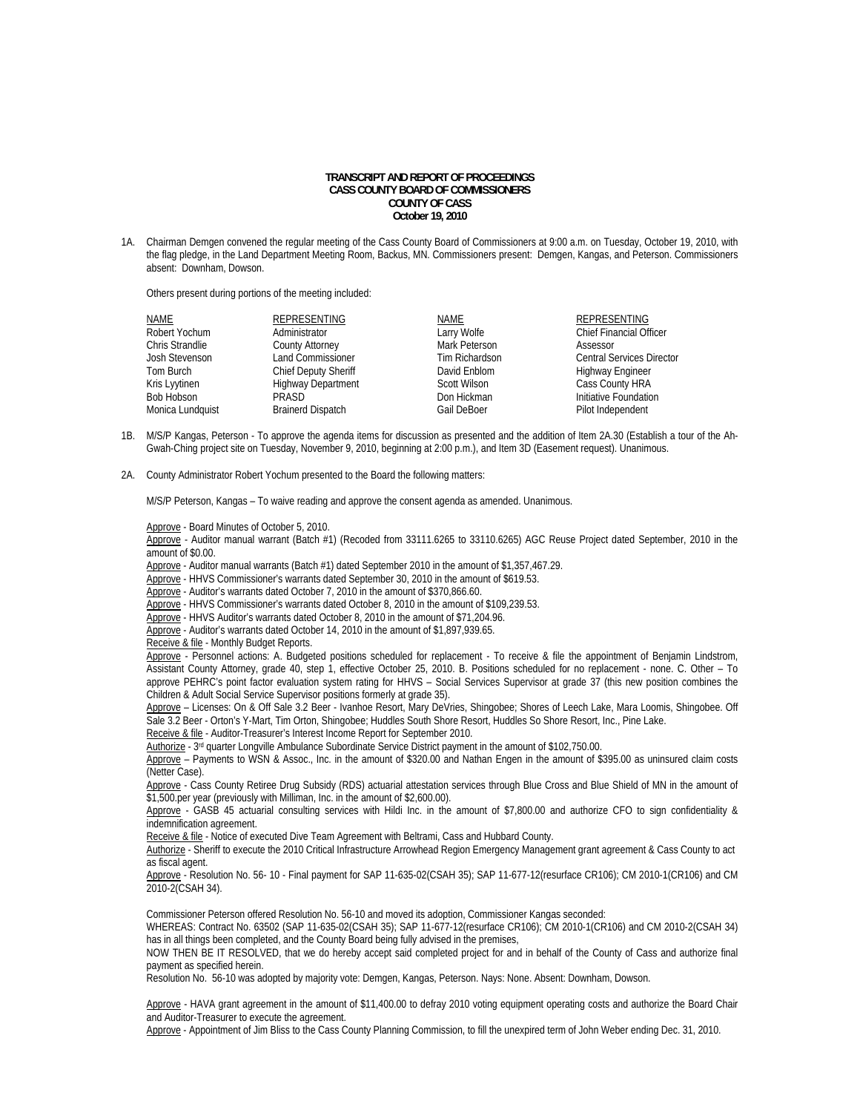## **TRANSCRIPT AND REPORT OF PROCEEDINGS CASS COUNTY BOARD OF COMMISSIONERS COUNTY OF CASS October 19, 2010**

1A. Chairman Demgen convened the regular meeting of the Cass County Board of Commissioners at 9:00 a.m. on Tuesday, October 19, 2010, with the flag pledge, in the Land Department Meeting Room, Backus, MN. Commissioners present: Demgen, Kangas, and Peterson. Commissioners absent: Downham, Dowson.

Others present during portions of the meeting included:

| <b>NAME</b>      | <b>REPRESENTING</b>         | NAME           | <b>REPRESENTING</b>              |
|------------------|-----------------------------|----------------|----------------------------------|
| Robert Yochum    | Administrator               | Larry Wolfe    | <b>Chief Financial Officer</b>   |
| Chris Strandlie  | <b>County Attorney</b>      | Mark Peterson  | Assessor                         |
| Josh Stevenson   | <b>Land Commissioner</b>    | Tim Richardson | <b>Central Services Director</b> |
| Tom Burch        | <b>Chief Deputy Sheriff</b> | David Enblom   | <b>Highway Engineer</b>          |
| Kris Lyytinen    | <b>Highway Department</b>   | Scott Wilson   | Cass County HRA                  |
| Bob Hobson       | PRASD                       | Don Hickman    | Initiative Foundation            |
| Monica Lundquist | <b>Brainerd Dispatch</b>    | Gail DeBoer    | Pilot Independent                |

- 1B. M/S/P Kangas, Peterson To approve the agenda items for discussion as presented and the addition of Item 2A.30 (Establish a tour of the Ah-Gwah-Ching project site on Tuesday, November 9, 2010, beginning at 2:00 p.m.), and Item 3D (Easement request). Unanimous.
- 2A. County Administrator Robert Yochum presented to the Board the following matters:

M/S/P Peterson, Kangas – To waive reading and approve the consent agenda as amended. Unanimous.

Approve - Board Minutes of October 5, 2010.

 Approve - Auditor manual warrant (Batch #1) (Recoded from 33111.6265 to 33110.6265) AGC Reuse Project dated September, 2010 in the amount of \$0.00.

Approve - Auditor manual warrants (Batch #1) dated September 2010 in the amount of \$1,357,467.29.

Approve - HHVS Commissioner's warrants dated September 30, 2010 in the amount of \$619.53.

Approve - Auditor's warrants dated October 7, 2010 in the amount of \$370,866.60.

Approve - HHVS Commissioner's warrants dated October 8, 2010 in the amount of \$109,239.53.

Approve - HHVS Auditor's warrants dated October 8, 2010 in the amount of \$71,204.96.

Approve - Auditor's warrants dated October 14, 2010 in the amount of \$1,897,939.65.

Receive & file - Monthly Budget Reports. Approve - Personnel actions: A. Budgeted positions scheduled for replacement - To receive & file the appointment of Benjamin Lindstrom, Assistant County Attorney, grade 40, step 1, effective October 25, 2010. B. Positions scheduled for no replacement - none. C. Other – To approve PEHRC's point factor evaluation system rating for HHVS – Social Services Supervisor at grade 37 (this new position combines the

Children & Adult Social Service Supervisor positions formerly at grade 35). Approve - Licenses: On & Off Sale 3.2 Beer - Ivanhoe Resort, Mary DeVries, Shingobee; Shores of Leech Lake, Mara Loomis, Shingobee. Off

Sale 3.2 Beer - Orton's Y-Mart, Tim Orton, Shingobee; Huddles South Shore Resort, Huddles So Shore Resort, Inc., Pine Lake. Receive & file - Auditor-Treasurer's Interest Income Report for September 2010.

Authorize - 3<sup>rd</sup> quarter Longville Ambulance Subordinate Service District payment in the amount of \$102,750.00.

Approve – Payments to WSN & Assoc., Inc. in the amount of \$320.00 and Nathan Engen in the amount of \$395.00 as uninsured claim costs (Netter Case).

Approve - Cass County Retiree Drug Subsidy (RDS) actuarial attestation services through Blue Cross and Blue Shield of MN in the amount of \$1,500.per year (previously with Milliman, Inc. in the amount of \$2,600.00).

Approve - GASB 45 actuarial consulting services with Hildi Inc. in the amount of \$7,800.00 and authorize CFO to sign confidentiality & indemnification agreement.

Receive & file - Notice of executed Dive Team Agreement with Beltrami, Cass and Hubbard County.

 Authorize - Sheriff to execute the 2010 Critical Infrastructure Arrowhead Region Emergency Management grant agreement & Cass County to act as fiscal agent.

 Approve - Resolution No. 56- 10 - Final payment for SAP 11-635-02(CSAH 35); SAP 11-677-12(resurface CR106); CM 2010-1(CR106) and CM 2010-2(CSAH 34).

Commissioner Peterson offered Resolution No. 56-10 and moved its adoption, Commissioner Kangas seconded:

WHEREAS: Contract No. 63502 (SAP 11-635-02(CSAH 35); SAP 11-677-12(resurface CR106); CM 2010-1(CR106) and CM 2010-2(CSAH 34) has in all things been completed, and the County Board being fully advised in the premises,

NOW THEN BE IT RESOLVED, that we do hereby accept said completed project for and in behalf of the County of Cass and authorize final payment as specified herein.

Resolution No. 56-10 was adopted by majority vote: Demgen, Kangas, Peterson. Nays: None. Absent: Downham, Dowson.

Approve - HAVA grant agreement in the amount of \$11,400.00 to defray 2010 voting equipment operating costs and authorize the Board Chair and Auditor-Treasurer to execute the agreement.

Approve - Appointment of Jim Bliss to the Cass County Planning Commission, to fill the unexpired term of John Weber ending Dec. 31, 2010.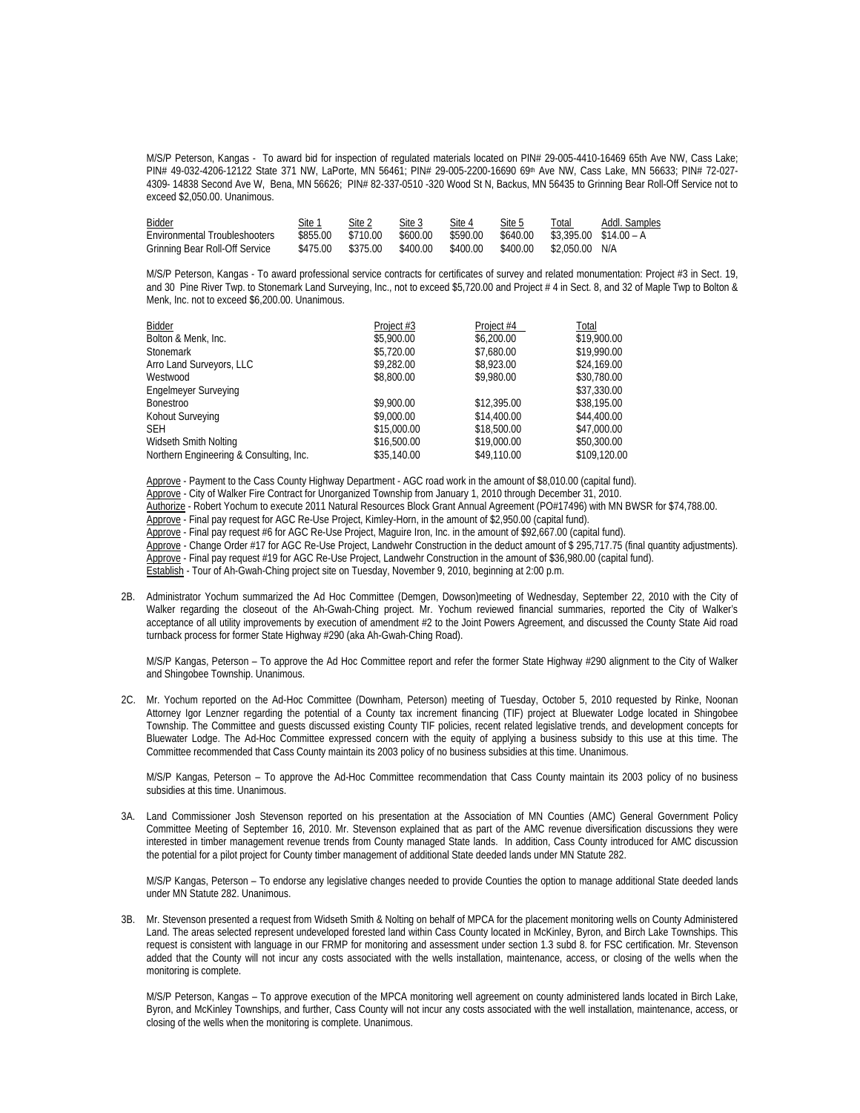M/S/P Peterson, Kangas -To award bid for inspection of regulated materials located on PIN# 29-005-4410-16469 65th Ave NW, Cass Lake; PIN# 49-032-4206-12122 State 371 NW, LaPorte, MN 56461; PIN# 29-005-2200-16690 69th Ave NW, Cass Lake, MN 56633; PIN# 72-027- 4309- 14838 Second Ave W, Bena, MN 56626; PIN# 82-337-0510 -320 Wood St N, Backus, MN 56435 to Grinning Bear Roll-Off Service not to exceed \$2,050.00. Unanimous.

| Bidder                         | Site 1   | Site 2   | Site 3   | Site 4   | Site 5   | Total                    | Addl. Samples |
|--------------------------------|----------|----------|----------|----------|----------|--------------------------|---------------|
| Environmental Troubleshooters  | \$855.00 | \$710.00 | \$600.00 | \$590.00 | \$640.00 | $$3.395.00$ $$14.00 - A$ |               |
| Grinning Bear Roll-Off Service | \$475.00 | \$375.00 | \$400.00 | \$400.00 | \$400.00 | \$2,050.00               | N/A           |

 M/S/P Peterson, Kangas - To award professional service contracts for certificates of survey and related monumentation: Project #3 in Sect. 19, and 30 Pine River Twp. to Stonemark Land Surveying, Inc., not to exceed \$5,720.00 and Project # 4 in Sect. 8, and 32 of Maple Twp to Bolton & Menk, Inc. not to exceed \$6,200.00. Unanimous.

| Project #3  | Project #4  | Total        |
|-------------|-------------|--------------|
| \$5,900.00  | \$6,200.00  | \$19,900.00  |
| \$5,720.00  | \$7.680.00  | \$19,990.00  |
| \$9,282.00  | \$8,923.00  | \$24,169.00  |
| \$8,800.00  | \$9,980.00  | \$30,780.00  |
|             |             | \$37,330.00  |
| \$9,900.00  | \$12,395.00 | \$38,195.00  |
| \$9,000.00  | \$14,400.00 | \$44,400.00  |
| \$15,000.00 | \$18,500.00 | \$47,000.00  |
| \$16,500.00 | \$19,000.00 | \$50,300.00  |
| \$35,140.00 | \$49,110.00 | \$109,120.00 |
|             |             |              |

 Approve - Payment to the Cass County Highway Department - AGC road work in the amount of \$8,010.00 (capital fund). Approve - City of Walker Fire Contract for Unorganized Township from January 1, 2010 through December 31, 2010. Authorize - Robert Yochum to execute 2011 Natural Resources Block Grant Annual Agreement (PO#17496) with MN BWSR for \$74,788.00. Approve - Final pay request for AGC Re-Use Project, Kimley-Horn, in the amount of \$2,950.00 (capital fund) Approve - Final pay request #6 for AGC Re-Use Project, Maguire Iron, Inc. in the amount of \$92,667.00 (capital fund). Approve - Change Order #17 for AGC Re-Use Project, Landwehr Construction in the deduct amount of \$ 295,717.75 (final quantity adjustments). Approve - Final pay request #19 for AGC Re-Use Project, Landwehr Construction in the amount of \$36,980.00 (capital fund). Establish - Tour of Ah-Gwah-Ching project site on Tuesday, November 9, 2010, beginning at 2:00 p.m.

2B. Administrator Yochum summarized the Ad Hoc Committee (Demgen, Dowson)meeting of Wednesday, September 22, 2010 with the City of Walker regarding the closeout of the Ah-Gwah-Ching project. Mr. Yochum reviewed financial summaries, reported the City of Walker's acceptance of all utility improvements by execution of amendment #2 to the Joint Powers Agreement, and discussed the County State Aid road turnback process for former State Highway #290 (aka Ah-Gwah-Ching Road).

M/S/P Kangas, Peterson – To approve the Ad Hoc Committee report and refer the former State Highway #290 alignment to the City of Walker and Shingobee Township. Unanimous.

2C. Mr. Yochum reported on the Ad-Hoc Committee (Downham, Peterson) meeting of Tuesday, October 5, 2010 requested by Rinke, Noonan Attorney Igor Lenzner regarding the potential of a County tax increment financing (TIF) project at Bluewater Lodge located in Shingobee Township. The Committee and guests discussed existing County TIF policies, recent related legislative trends, and development concepts for Bluewater Lodge. The Ad-Hoc Committee expressed concern with the equity of applying a business subsidy to this use at this time. The Committee recommended that Cass County maintain its 2003 policy of no business subsidies at this time. Unanimous.

 M/S/P Kangas, Peterson – To approve the Ad-Hoc Committee recommendation that Cass County maintain its 2003 policy of no business subsidies at this time. Unanimous.

3A. Land Commissioner Josh Stevenson reported on his presentation at the Association of MN Counties (AMC) General Government Policy Committee Meeting of September 16, 2010. Mr. Stevenson explained that as part of the AMC revenue diversification discussions they were interested in timber management revenue trends from County managed State lands. In addition, Cass County introduced for AMC discussion the potential for a pilot project for County timber management of additional State deeded lands under MN Statute 282.

 M/S/P Kangas, Peterson – To endorse any legislative changes needed to provide Counties the option to manage additional State deeded lands under MN Statute 282. Unanimous.

3B. Mr. Stevenson presented a request from Widseth Smith & Nolting on behalf of MPCA for the placement monitoring wells on County Administered Land. The areas selected represent undeveloped forested land within Cass County located in McKinley, Byron, and Birch Lake Townships. This request is consistent with language in our FRMP for monitoring and assessment under section 1.3 subd 8. for FSC certification. Mr. Stevenson added that the County will not incur any costs associated with the wells installation, maintenance, access, or closing of the wells when the monitoring is complete.

 M/S/P Peterson, Kangas – To approve execution of the MPCA monitoring well agreement on county administered lands located in Birch Lake, Byron, and McKinley Townships, and further, Cass County will not incur any costs associated with the well installation, maintenance, access, or closing of the wells when the monitoring is complete. Unanimous.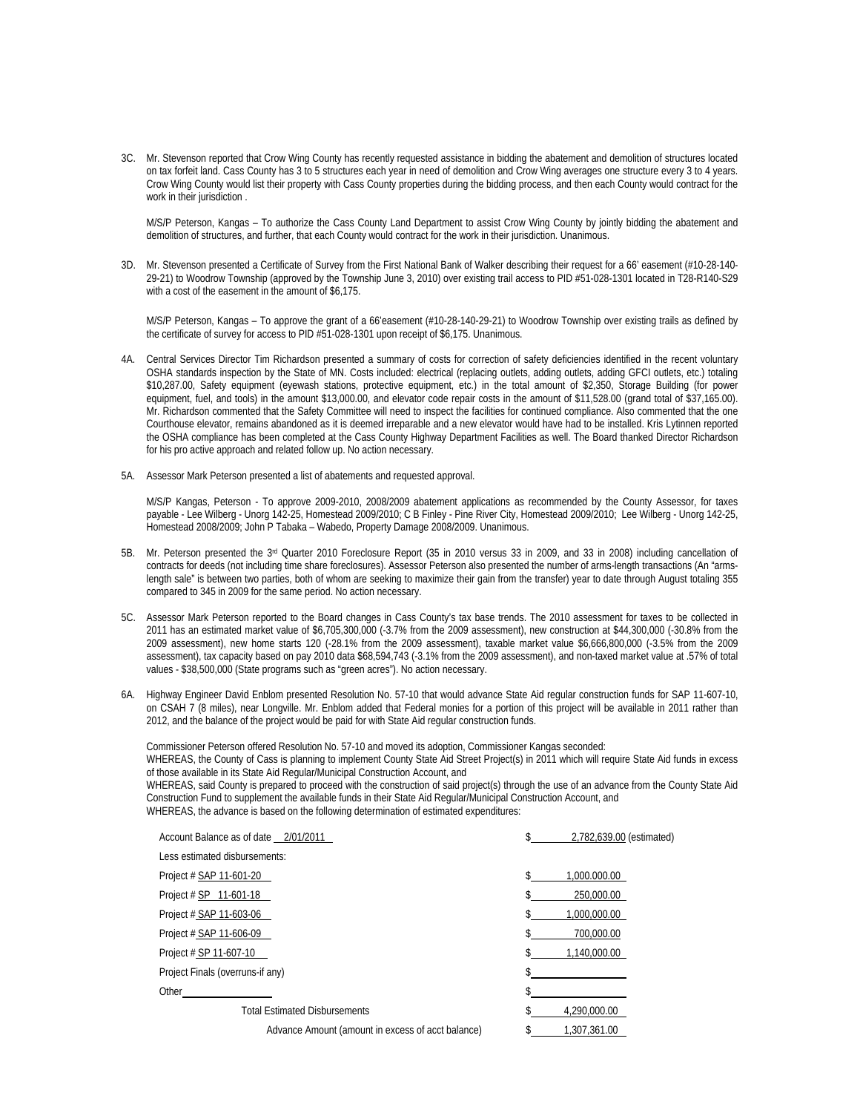3C. Mr. Stevenson reported that Crow Wing County has recently requested assistance in bidding the abatement and demolition of structures located on tax forfeit land. Cass County has 3 to 5 structures each year in need of demolition and Crow Wing averages one structure every 3 to 4 years. Crow Wing County would list their property with Cass County properties during the bidding process, and then each County would contract for the work in their jurisdiction.

 M/S/P Peterson, Kangas – To authorize the Cass County Land Department to assist Crow Wing County by jointly bidding the abatement and demolition of structures, and further, that each County would contract for the work in their jurisdiction. Unanimous.

3D. Mr. Stevenson presented a Certificate of Survey from the First National Bank of Walker describing their request for a 66' easement (#10-28-140- 29-21) to Woodrow Township (approved by the Township June 3, 2010) over existing trail access to PID #51-028-1301 located in T28-R140-S29 with a cost of the easement in the amount of \$6,175.

 M/S/P Peterson, Kangas – To approve the grant of a 66'easement (#10-28-140-29-21) to Woodrow Township over existing trails as defined by the certificate of survey for access to PID #51-028-1301 upon receipt of \$6,175. Unanimous.

- 4A. Central Services Director Tim Richardson presented a summary of costs for correction of safety deficiencies identified in the recent voluntary OSHA standards inspection by the State of MN. Costs included: electrical (replacing outlets, adding outlets, adding GFCI outlets, etc.) totaling \$10,287.00, Safety equipment (eyewash stations, protective equipment, etc.) in the total amount of \$2,350, Storage Building (for power equipment, fuel, and tools) in the amount \$13,000.00, and elevator code repair costs in the amount of \$11,528.00 (grand total of \$37,165.00). Mr. Richardson commented that the Safety Committee will need to inspect the facilities for continued compliance. Also commented that the one Courthouse elevator, remains abandoned as it is deemed irreparable and a new elevator would have had to be installed. Kris Lytinnen reported the OSHA compliance has been completed at the Cass County Highway Department Facilities as well. The Board thanked Director Richardson for his pro active approach and related follow up. No action necessary.
- 5A. Assessor Mark Peterson presented a list of abatements and requested approval.

M/S/P Kangas, Peterson - To approve 2009-2010, 2008/2009 abatement applications as recommended by the County Assessor, for taxes payable - Lee Wilberg - Unorg 142-25, Homestead 2009/2010; C B Finley - Pine River City, Homestead 2009/2010; Lee Wilberg - Unorg 142-25, Homestead 2008/2009; John P Tabaka – Wabedo, Property Damage 2008/2009. Unanimous.

- 5B. Mr. Peterson presented the 3<sup>rd</sup> Quarter 2010 Foreclosure Report (35 in 2010 versus 33 in 2009, and 33 in 2008) including cancellation of contracts for deeds (not including time share foreclosures). Assessor Peterson also presented the number of arms-length transactions (An "armslength sale" is between two parties, both of whom are seeking to maximize their gain from the transfer) year to date through August totaling 355 compared to 345 in 2009 for the same period. No action necessary.
- 5C. Assessor Mark Peterson reported to the Board changes in Cass County's tax base trends. The 2010 assessment for taxes to be collected in 2011 has an estimated market value of \$6,705,300,000 (-3.7% from the 2009 assessment), new construction at \$44,300,000 (-30.8% from the 2009 assessment), new home starts 120 (-28.1% from the 2009 assessment), taxable market value \$6,666,800,000 (-3.5% from the 2009 assessment), tax capacity based on pay 2010 data \$68,594,743 (-3.1% from the 2009 assessment), and non-taxed market value at .57% of total values - \$38,500,000 (State programs such as "green acres"). No action necessary.
- 6A. Highway Engineer David Enblom presented Resolution No. 57-10 that would advance State Aid regular construction funds for SAP 11-607-10, on CSAH 7 (8 miles), near Longville. Mr. Enblom added that Federal monies for a portion of this project will be available in 2011 rather than 2012, and the balance of the project would be paid for with State Aid regular construction funds.

 Commissioner Peterson offered Resolution No. 57-10 and moved its adoption, Commissioner Kangas seconded: WHEREAS, the County of Cass is planning to implement County State Aid Street Project(s) in 2011 which will require State Aid funds in excess of those available in its State Aid Regular/Municipal Construction Account, and WHEREAS, said County is prepared to proceed with the construction of said project(s) through the use of an advance from the County State Aid Construction Fund to supplement the available funds in their State Aid Regular/Municipal Construction Account, and

WHEREAS, the advance is based on the following determination of estimated expenditures:

| Account Balance as of date 2/01/2011              | 2,782,639.00 (estimated) |
|---------------------------------------------------|--------------------------|
| Less estimated disbursements:                     |                          |
| Project # SAP 11-601-20                           | 1,000,000,00             |
| Project # SP 11-601-18                            | 250,000.00               |
| Project # SAP 11-603-06                           | 1,000,000.00             |
| Project # SAP 11-606-09                           | 700,000.00               |
| Project # SP 11-607-10                            | 1,140,000.00             |
| Project Finals (overruns-if any)                  |                          |
| Other                                             |                          |
| <b>Total Estimated Disbursements</b>              | 4.290.000.00             |
| Advance Amount (amount in excess of acct balance) | 1,307,361.00             |